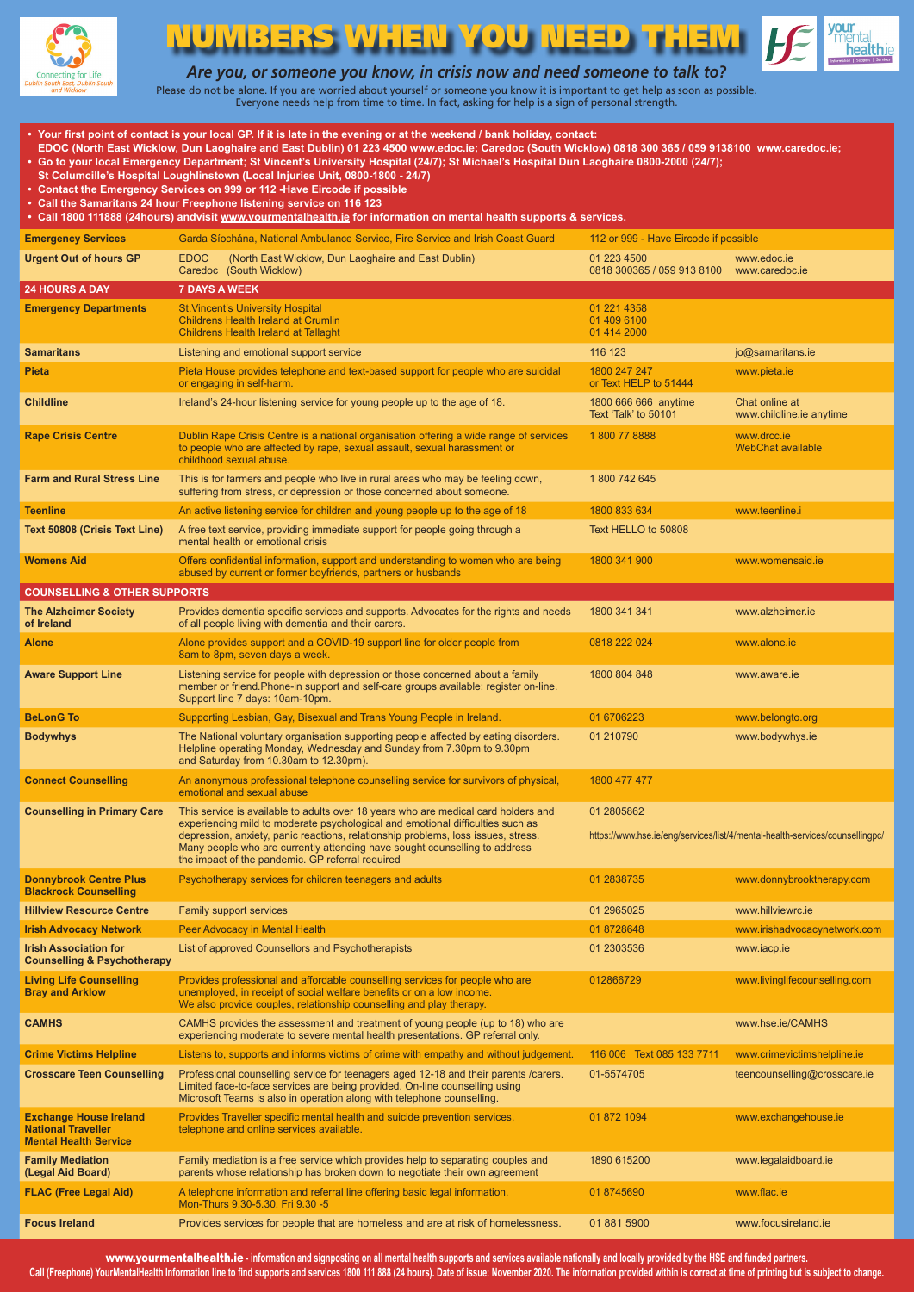

## UMBERS WHEN YOU NEED



*Are you, or someone you know, in crisis now and need someone to talk to?*

Please do not be alone. If you are worried about yourself or someone you know it is important to get help as soon as possible. Everyone needs help from time to time. In fact, asking for help is a sign of personal strength.

| • Your first point of contact is your local GP. If it is late in the evening or at the weekend / bank holiday, contact:<br>EDOC (North East Wicklow, Dun Laoghaire and East Dublin) 01 223 4500 www.edoc.ie; Caredoc (South Wicklow) 0818 300 365 / 059 9138100 www.caredoc.ie;<br>• Go to your local Emergency Department; St Vincent's University Hospital (24/7); St Michael's Hospital Dun Laoghaire 0800-2000 (24/7);<br>St Columcille's Hospital Loughlinstown (Local Injuries Unit, 0800-1800 - 24/7)<br>• Contact the Emergency Services on 999 or 112 -Have Eircode if possible<br>• Call the Samaritans 24 hour Freephone listening service on 116 123<br>· Call 1800 111888 (24hours) andvisit www.yourmentalhealth.ie for information on mental health supports & services. |                                                                                                                                                                                                                                                                                                                                                                                             |                                              |                                                                              |  |  |
|-----------------------------------------------------------------------------------------------------------------------------------------------------------------------------------------------------------------------------------------------------------------------------------------------------------------------------------------------------------------------------------------------------------------------------------------------------------------------------------------------------------------------------------------------------------------------------------------------------------------------------------------------------------------------------------------------------------------------------------------------------------------------------------------|---------------------------------------------------------------------------------------------------------------------------------------------------------------------------------------------------------------------------------------------------------------------------------------------------------------------------------------------------------------------------------------------|----------------------------------------------|------------------------------------------------------------------------------|--|--|
| <b>Emergency Services</b>                                                                                                                                                                                                                                                                                                                                                                                                                                                                                                                                                                                                                                                                                                                                                               | Garda Síochána, National Ambulance Service, Fire Service and Irish Coast Guard                                                                                                                                                                                                                                                                                                              | 112 or 999 - Have Eircode if possible        |                                                                              |  |  |
| <b>Urgent Out of hours GP</b>                                                                                                                                                                                                                                                                                                                                                                                                                                                                                                                                                                                                                                                                                                                                                           | <b>EDOC</b><br>(North East Wicklow, Dun Laoghaire and East Dublin)<br>Caredoc (South Wicklow)                                                                                                                                                                                                                                                                                               | 01 223 4500<br>0818 300365 / 059 913 8100    | www.edoc.ie<br>www.caredoc.je                                                |  |  |
| <b>24 HOURS A DAY</b>                                                                                                                                                                                                                                                                                                                                                                                                                                                                                                                                                                                                                                                                                                                                                                   | <b>7 DAYS A WEEK</b>                                                                                                                                                                                                                                                                                                                                                                        |                                              |                                                                              |  |  |
| <b>Emergency Departments</b>                                                                                                                                                                                                                                                                                                                                                                                                                                                                                                                                                                                                                                                                                                                                                            | <b>St. Vincent's University Hospital</b><br><b>Childrens Health Ireland at Crumlin</b><br><b>Childrens Health Ireland at Tallaght</b>                                                                                                                                                                                                                                                       | 01 221 4358<br>01 409 6100<br>01 414 2000    |                                                                              |  |  |
| Samaritans                                                                                                                                                                                                                                                                                                                                                                                                                                                                                                                                                                                                                                                                                                                                                                              | Listening and emotional support service                                                                                                                                                                                                                                                                                                                                                     | 116 123                                      | jo@samaritans.ie                                                             |  |  |
| <b>Pieta</b>                                                                                                                                                                                                                                                                                                                                                                                                                                                                                                                                                                                                                                                                                                                                                                            | Pieta House provides telephone and text-based support for people who are suicidal<br>or engaging in self-harm.                                                                                                                                                                                                                                                                              | 1800 247 247<br>or Text HELP to 51444        | www.pieta.ie                                                                 |  |  |
| Childline                                                                                                                                                                                                                                                                                                                                                                                                                                                                                                                                                                                                                                                                                                                                                                               | Ireland's 24-hour listening service for young people up to the age of 18.                                                                                                                                                                                                                                                                                                                   | 1800 666 666 anytime<br>Text 'Talk' to 50101 | Chat online at<br>www.childline.ie anytime                                   |  |  |
| <b>Rape Crisis Centre</b>                                                                                                                                                                                                                                                                                                                                                                                                                                                                                                                                                                                                                                                                                                                                                               | Dublin Rape Crisis Centre is a national organisation offering a wide range of services<br>to people who are affected by rape, sexual assault, sexual harassment or<br>childhood sexual abuse.                                                                                                                                                                                               | 1800 778888                                  | www.drcc.ie<br><b>WebChat available</b>                                      |  |  |
| <b>Farm and Rural Stress Line</b>                                                                                                                                                                                                                                                                                                                                                                                                                                                                                                                                                                                                                                                                                                                                                       | This is for farmers and people who live in rural areas who may be feeling down,<br>suffering from stress, or depression or those concerned about someone.                                                                                                                                                                                                                                   | 1800 742 645                                 |                                                                              |  |  |
| <b>Teenline</b>                                                                                                                                                                                                                                                                                                                                                                                                                                                                                                                                                                                                                                                                                                                                                                         | An active listening service for children and young people up to the age of 18                                                                                                                                                                                                                                                                                                               | 1800 833 634                                 | www.teenline.i                                                               |  |  |
| Text 50808 (Crisis Text Line)                                                                                                                                                                                                                                                                                                                                                                                                                                                                                                                                                                                                                                                                                                                                                           | A free text service, providing immediate support for people going through a<br>mental health or emotional crisis                                                                                                                                                                                                                                                                            | Text HELLO to 50808                          |                                                                              |  |  |
| <b>Womens Aid</b>                                                                                                                                                                                                                                                                                                                                                                                                                                                                                                                                                                                                                                                                                                                                                                       | Offers confidential information, support and understanding to women who are being<br>abused by current or former boyfriends, partners or husbands                                                                                                                                                                                                                                           | 1800 341 900                                 | www.womensaid.ie                                                             |  |  |
| <b>COUNSELLING &amp; OTHER SUPPORTS</b>                                                                                                                                                                                                                                                                                                                                                                                                                                                                                                                                                                                                                                                                                                                                                 |                                                                                                                                                                                                                                                                                                                                                                                             |                                              |                                                                              |  |  |
| <b>The Alzheimer Society</b><br>of Ireland                                                                                                                                                                                                                                                                                                                                                                                                                                                                                                                                                                                                                                                                                                                                              | Provides dementia specific services and supports. Advocates for the rights and needs<br>of all people living with dementia and their carers.                                                                                                                                                                                                                                                | 1800 341 341                                 | www.alzheimer.ie                                                             |  |  |
| Alone                                                                                                                                                                                                                                                                                                                                                                                                                                                                                                                                                                                                                                                                                                                                                                                   | Alone provides support and a COVID-19 support line for older people from<br>8am to 8pm, seven days a week.                                                                                                                                                                                                                                                                                  | 0818 222 024                                 | www.alone.ie                                                                 |  |  |
| <b>Aware Support Line</b>                                                                                                                                                                                                                                                                                                                                                                                                                                                                                                                                                                                                                                                                                                                                                               | Listening service for people with depression or those concerned about a family<br>member or friend. Phone-in support and self-care groups available: register on-line.<br>Support line 7 days: 10am-10pm.                                                                                                                                                                                   | 1800 804 848                                 | www.aware.ie                                                                 |  |  |
| <b>BeLonG To</b>                                                                                                                                                                                                                                                                                                                                                                                                                                                                                                                                                                                                                                                                                                                                                                        | Supporting Lesbian, Gay, Bisexual and Trans Young People in Ireland.                                                                                                                                                                                                                                                                                                                        | 01 670 6223                                  | www.belongto.org                                                             |  |  |
| <b>Bodywhys</b>                                                                                                                                                                                                                                                                                                                                                                                                                                                                                                                                                                                                                                                                                                                                                                         | The National voluntary organisation supporting people affected by eating disorders.<br>Helpline operating Monday, Wednesday and Sunday from 7.30pm to 9.30pm<br>and Saturday from 10.30am to 12.30pm).                                                                                                                                                                                      | 01 210790                                    | www.bodywhys.ie                                                              |  |  |
| <b>Connect Counselling</b>                                                                                                                                                                                                                                                                                                                                                                                                                                                                                                                                                                                                                                                                                                                                                              | An anonymous professional telephone counselling service for survivors of physical,<br>emotional and sexual abuse                                                                                                                                                                                                                                                                            | 1800 477 477                                 |                                                                              |  |  |
| <b>Counselling in Primary Care</b>                                                                                                                                                                                                                                                                                                                                                                                                                                                                                                                                                                                                                                                                                                                                                      | This service is available to adults over 18 years who are medical card holders and<br>experiencing mild to moderate psychological and emotional difficulties such as<br>depression, anxiety, panic reactions, relationship problems, loss issues, stress.<br>Many people who are currently attending have sought counselling to address<br>the impact of the pandemic. GP referral required | 01 2805862                                   | https://www.hse.ie/eng/services/list/4/mental-health-services/counsellingpc/ |  |  |
| <b>Donnybrook Centre Plus</b><br><b>Blackrock Counselling</b>                                                                                                                                                                                                                                                                                                                                                                                                                                                                                                                                                                                                                                                                                                                           | Psychotherapy services for children teenagers and adults                                                                                                                                                                                                                                                                                                                                    | 01 2838735                                   | www.donnybrooktherapy.com                                                    |  |  |
| <b>Hillview Resource Centre</b>                                                                                                                                                                                                                                                                                                                                                                                                                                                                                                                                                                                                                                                                                                                                                         | <b>Family support services</b>                                                                                                                                                                                                                                                                                                                                                              | 01 2965025                                   | www.hillviewrc.ie                                                            |  |  |
| Irish Advocacy Network                                                                                                                                                                                                                                                                                                                                                                                                                                                                                                                                                                                                                                                                                                                                                                  | Peer Advocacy in Mental Health                                                                                                                                                                                                                                                                                                                                                              | 01 8728648                                   | www.irishadvocacynetwork.com                                                 |  |  |
| <b>Irish Association for</b><br><b>Counselling &amp; Psychotherapy</b>                                                                                                                                                                                                                                                                                                                                                                                                                                                                                                                                                                                                                                                                                                                  | List of approved Counsellors and Psychotherapists                                                                                                                                                                                                                                                                                                                                           | 01 2303536                                   | www.iacp.ie                                                                  |  |  |
| <b>Living Life Counselling</b><br><b>Bray and Arklow</b>                                                                                                                                                                                                                                                                                                                                                                                                                                                                                                                                                                                                                                                                                                                                | Provides professional and affordable counselling services for people who are<br>unemployed, in receipt of social welfare benefits or on a low income.<br>We also provide couples, relationship counselling and play therapy.                                                                                                                                                                | 012866729                                    | www.livinglifecounselling.com                                                |  |  |
| CAMHS                                                                                                                                                                                                                                                                                                                                                                                                                                                                                                                                                                                                                                                                                                                                                                                   | CAMHS provides the assessment and treatment of young people (up to 18) who are<br>experiencing moderate to severe mental health presentations. GP referral only.                                                                                                                                                                                                                            |                                              | www.hse.ie/CAMHS                                                             |  |  |
| <b>Crime Victims Helpline</b>                                                                                                                                                                                                                                                                                                                                                                                                                                                                                                                                                                                                                                                                                                                                                           | Listens to, supports and informs victims of crime with empathy and without judgement.                                                                                                                                                                                                                                                                                                       | 116 006 Text 085 133 7711                    | www.crimevictimshelpline.ie                                                  |  |  |
| <b>Crosscare Teen Counselling</b>                                                                                                                                                                                                                                                                                                                                                                                                                                                                                                                                                                                                                                                                                                                                                       | Professional counselling service for teenagers aged 12-18 and their parents /carers.<br>Limited face-to-face services are being provided. On-line counselling using<br>Microsoft Teams is also in operation along with telephone counselling.                                                                                                                                               | 01-5574705                                   | teencounselling@crosscare.ie                                                 |  |  |
| <b>Exchange House Ireland</b><br><b>National Traveller</b><br><b>Mental Health Service</b>                                                                                                                                                                                                                                                                                                                                                                                                                                                                                                                                                                                                                                                                                              | Provides Traveller specific mental health and suicide prevention services,<br>telephone and online services available.                                                                                                                                                                                                                                                                      | 01 872 1094                                  | www.exchangehouse.ie                                                         |  |  |
| <b>Family Mediation</b><br>(Legal Aid Board)                                                                                                                                                                                                                                                                                                                                                                                                                                                                                                                                                                                                                                                                                                                                            | Family mediation is a free service which provides help to separating couples and<br>parents whose relationship has broken down to negotiate their own agreement                                                                                                                                                                                                                             | 1890 615200                                  | www.legalaidboard.ie                                                         |  |  |
| <b>FLAC (Free Legal Aid)</b>                                                                                                                                                                                                                                                                                                                                                                                                                                                                                                                                                                                                                                                                                                                                                            | A telephone information and referral line offering basic legal information,<br>Mon-Thurs 9.30-5.30, Fri 9.30 -5                                                                                                                                                                                                                                                                             | 01 8745690                                   | www.flac.ie                                                                  |  |  |
| Focus Ireland                                                                                                                                                                                                                                                                                                                                                                                                                                                                                                                                                                                                                                                                                                                                                                           | Provides services for people that are homeless and are at risk of homelessness.                                                                                                                                                                                                                                                                                                             | 01 881 5900                                  | www.focusireland.ie                                                          |  |  |

www.yourmentalhealth.ie **- information and signposting on all mental health supports and services available nationally and locally provided by the HSE and funded partners.**

Call (Freephone) YourMentalHealth Information line to find supports and services 1800 111 888 (24 hours). Date of issue: November 2020. The information provided within is correct at time of printing but is subject to chang